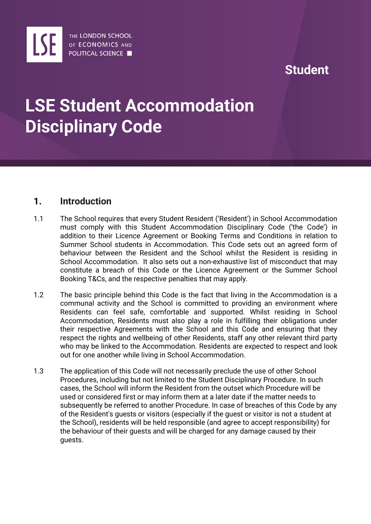

## **Student**

# **LSE Student Accommodation Disciplinary Code**

### **1. Introduction**

- 1.1 The School requires that every Student Resident ('Resident') in School Accommodation must comply with this Student Accommodation Disciplinary Code ('the Code') in addition to their Licence Agreement or Booking Terms and Conditions in relation to Summer School students in Accommodation. This Code sets out an agreed form of behaviour between the Resident and the School whilst the Resident is residing in School Accommodation. It also sets out a non-exhaustive list of misconduct that may constitute a breach of this Code or the Licence Agreement or the Summer School Booking T&Cs, and the respective penalties that may apply.
- 1.2 The basic principle behind this Code is the fact that living in the Accommodation is a communal activity and the School is committed to providing an environment where Residents can feel safe, comfortable and supported. Whilst residing in School Accommodation, Residents must also play a role in fulfilling their obligations under their respective Agreements with the School and this Code and ensuring that they respect the rights and wellbeing of other Residents, staff any other relevant third party who may be linked to the Accommodation. Residents are expected to respect and look out for one another while living in School Accommodation.
- 1.3 The application of this Code will not necessarily preclude the use of other School Procedures, including but not limited to the Student Disciplinary Procedure. In such cases, the School will inform the Resident from the outset which Procedure will be used or considered first or may inform them at a later date if the matter needs to subsequently be referred to another Procedure. In case of breaches of this Code by any of the Resident's guests or visitors (especially if the guest or visitor is not a student at the School), residents will be held responsible (and agree to accept responsibility) for the behaviour of their guests and will be charged for any damage caused by their guests.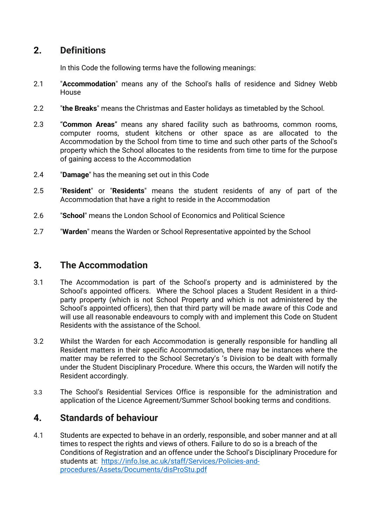### **2. Definitions**

In this Code the following terms have the following meanings:

- 2.1 "**Accommodation**" means any of the School's halls of residence and Sidney Webb House
- 2.2 "**the Breaks**" means the Christmas and Easter holidays as timetabled by the School.
- 2.3 "**Common Areas**" means any shared facility such as bathrooms, common rooms, computer rooms, student kitchens or other space as are allocated to the Accommodation by the School from time to time and such other parts of the School's property which the School allocates to the residents from time to time for the purpose of gaining access to the Accommodation
- 2.4 "**Damage**" has the meaning set out in this Code
- 2.5 "**Resident**" or "**Residents**" means the student residents of any of part of the Accommodation that have a right to reside in the Accommodation
- 2.6 "**School**" means the London School of Economics and Political Science
- 2.7 "**Warden**" means the Warden or School Representative appointed by the School

### **3. The Accommodation**

- 3.1 The Accommodation is part of the School's property and is administered by the School's appointed officers. Where the School places a Student Resident in a thirdparty property (which is not School Property and which is not administered by the School's appointed officers), then that third party will be made aware of this Code and will use all reasonable endeavours to comply with and implement this Code on Student Residents with the assistance of the School.
- 3.2 Whilst the Warden for each Accommodation is generally responsible for handling all Resident matters in their specific Accommodation, there may be instances where the matter may be referred to the School Secretary's 's Division to be dealt with formally under the Student Disciplinary Procedure. Where this occurs, the Warden will notify the Resident accordingly.
- 3.3 The School's Residential Services Office is responsible for the administration and application of the Licence Agreement/Summer School booking terms and conditions.

### **4. Standards of behaviour**

4.1 Students are expected to behave in an orderly, responsible, and sober manner and at all times to respect the rights and views of others. Failure to do so is a breach of the Conditions of Registration and an offence under the School's Disciplinary Procedure for students at: [https://info.lse.ac.uk/staff/Services/Policies-and](https://info.lse.ac.uk/staff/Services/Policies-and-procedures/Assets/Documents/disProStu.pdf)[procedures/Assets/Documents/disProStu.pdf](https://info.lse.ac.uk/staff/Services/Policies-and-procedures/Assets/Documents/disProStu.pdf)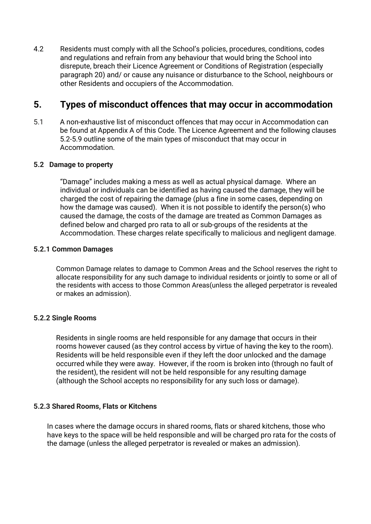4.2 Residents must comply with all the School's policies, procedures, conditions, codes and regulations and refrain from any behaviour that would bring the School into disrepute, breach their Licence Agreement or Conditions of Registration (especially paragraph 20) and/ or cause any nuisance or disturbance to the School, neighbours or other Residents and occupiers of the Accommodation.

### **5. Types of misconduct offences that may occur in accommodation**

5.1 A non-exhaustive list of misconduct offences that may occur in Accommodation can be found at Appendix A of this Code. The Licence Agreement and the following clauses 5.2-5.9 outline some of the main types of misconduct that may occur in Accommodation.

#### **5.2 Damage to property**

"Damage" includes making a mess as well as actual physical damage. Where an individual or individuals can be identified as having caused the damage, they will be charged the cost of repairing the damage (plus a fine in some cases, depending on how the damage was caused). When it is not possible to identify the person(s) who caused the damage, the costs of the damage are treated as Common Damages as defined below and charged pro rata to all or sub-groups of the residents at the Accommodation. These charges relate specifically to malicious and negligent damage.

#### **5.2.1 Common Damages**

Common Damage relates to damage to Common Areas and the School reserves the right to allocate responsibility for any such damage to individual residents or jointly to some or all of the residents with access to those Common Areas(unless the alleged perpetrator is revealed or makes an admission).

#### **5.2.2 Single Rooms**

Residents in single rooms are held responsible for any damage that occurs in their rooms however caused (as they control access by virtue of having the key to the room). Residents will be held responsible even if they left the door unlocked and the damage occurred while they were away. However, if the room is broken into (through no fault of the resident), the resident will not be held responsible for any resulting damage (although the School accepts no responsibility for any such loss or damage).

#### **5.2.3 Shared Rooms, Flats or Kitchens**

In cases where the damage occurs in shared rooms, flats or shared kitchens, those who have keys to the space will be held responsible and will be charged pro rata for the costs of the damage (unless the alleged perpetrator is revealed or makes an admission).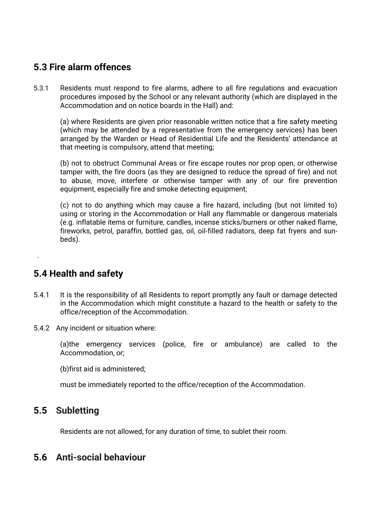### **5.3 Fire alarm offences**

5.3.1 Residents must respond to fire alarms, adhere to all fire regulations and evacuation procedures imposed by the School or any relevant authority (which are displayed in the Accommodation and on notice boards in the Hall) and:

(a) where Residents are given prior reasonable written notice that a fire safety meeting (which may be attended by a representative from the emergency services) has been arranged by the Warden or Head of Residential Life and the Residents' attendance at that meeting is compulsory, attend that meeting;

(b) not to obstruct Communal Areas or fire escape routes nor prop open, or otherwise tamper with, the fire doors (as they are designed to reduce the spread of fire) and not to abuse, move, interfere or otherwise tamper with any of our fire prevention equipment, especially fire and smoke detecting equipment;

(c) not to do anything which may cause a fire hazard, including (but not limited to) using or storing in the Accommodation or Hall any flammable or dangerous materials (e.g. inflatable items or furniture, candles, incense sticks/burners or other naked flame, fireworks, petrol, paraffin, bottled gas, oil, oil-filled radiators, deep fat fryers and sunbeds).

### **5.4 Health and safety**

.

- 5.4.1 It is the responsibility of all Residents to report promptly any fault or damage detected in the Accommodation which might constitute a hazard to the health or safety to the office/reception of the Accommodation.
- 5.4.2 Any incident or situation where:

(a)the emergency services (police, fire or ambulance) are called to the Accommodation, or;

(b)first aid is administered;

must be immediately reported to the office/reception of the Accommodation.

### **5.5 Subletting**

Residents are not allowed, for any duration of time, to sublet their room.

### **5.6 Anti-social behaviour**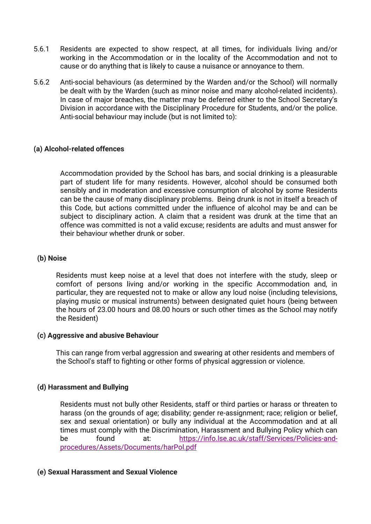- 5.6.1 Residents are expected to show respect, at all times, for individuals living and/or working in the Accommodation or in the locality of the Accommodation and not to cause or do anything that is likely to cause a nuisance or annoyance to them.
- 5.6.2 Anti-social behaviours (as determined by the Warden and/or the School) will normally be dealt with by the Warden (such as minor noise and many alcohol-related incidents). In case of major breaches, the matter may be deferred either to the School Secretary's Division in accordance with the Disciplinary Procedure for Students, and/or the police. Anti-social behaviour may include (but is not limited to):

#### **(a) Alcohol-related offences**

Accommodation provided by the School has bars, and social drinking is a pleasurable part of student life for many residents. However, alcohol should be consumed both sensibly and in moderation and excessive consumption of alcohol by some Residents can be the cause of many disciplinary problems. Being drunk is not in itself a breach of this Code, but actions committed under the influence of alcohol may be and can be subject to disciplinary action. A claim that a resident was drunk at the time that an offence was committed is not a valid excuse; residents are adults and must answer for their behaviour whether drunk or sober.

#### **(b) Noise**

Residents must keep noise at a level that does not interfere with the study, sleep or comfort of persons living and/or working in the specific Accommodation and, in particular, they are requested not to make or allow any loud noise (including televisions, playing music or musical instruments) between designated quiet hours (being between the hours of 23.00 hours and 08.00 hours or such other times as the School may notify the Resident)

#### **(c) Aggressive and abusive Behaviour**

This can range from verbal aggression and swearing at other residents and members of the School's staff to fighting or other forms of physical aggression or violence.

#### **(d) Harassment and Bullying**

Residents must not bully other Residents, staff or third parties or harass or threaten to harass (on the grounds of age; disability; gender re-assignment; race; religion or belief, sex and sexual orientation) or bully any individual at the Accommodation and at all times must comply with the Discrimination, Harassment and Bullying Policy which can be found at: [https://info.lse.ac.uk/staff/Services/Policies-and](about:blank)[procedures/Assets/Documents/harPol.pdf](about:blank)

#### **(e) Sexual Harassment and Sexual Violence**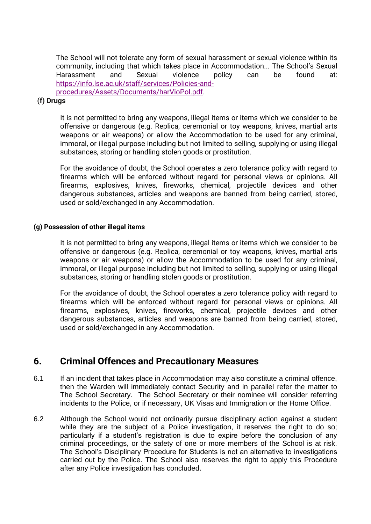The School will not tolerate any form of sexual harassment or sexual violence within its community, including that which takes place in Accommodation... The School's Sexual Harassment and Sexual violence policy can be found at: [https://info.lse.ac.uk/staff/services/Policies-and](about:blank)[procedures/Assets/Documents/harVioPol.pdf.](about:blank)

#### **(f) Drugs**

It is not permitted to bring any weapons, illegal items or items which we consider to be offensive or dangerous (e.g. Replica, ceremonial or toy weapons, knives, martial arts weapons or air weapons) or allow the Accommodation to be used for any criminal, immoral, or illegal purpose including but not limited to selling, supplying or using illegal substances, storing or handling stolen goods or prostitution.

For the avoidance of doubt, the School operates a zero tolerance policy with regard to firearms which will be enforced without regard for personal views or opinions. All firearms, explosives, knives, fireworks, chemical, projectile devices and other dangerous substances, articles and weapons are banned from being carried, stored, used or sold/exchanged in any Accommodation.

#### **(g) Possession of other illegal items**

It is not permitted to bring any weapons, illegal items or items which we consider to be offensive or dangerous (e.g. Replica, ceremonial or toy weapons, knives, martial arts weapons or air weapons) or allow the Accommodation to be used for any criminal, immoral, or illegal purpose including but not limited to selling, supplying or using illegal substances, storing or handling stolen goods or prostitution.

For the avoidance of doubt, the School operates a zero tolerance policy with regard to firearms which will be enforced without regard for personal views or opinions. All firearms, explosives, knives, fireworks, chemical, projectile devices and other dangerous substances, articles and weapons are banned from being carried, stored, used or sold/exchanged in any Accommodation.

### **6. Criminal Offences and Precautionary Measures**

- 6.1 If an incident that takes place in Accommodation may also constitute a criminal offence, then the Warden will immediately contact Security and in parallel refer the matter to The School Secretary. The School Secretary or their nominee will consider referring incidents to the Police, or if necessary, UK Visas and Immigration or the Home Office.
- 6.2 Although the School would not ordinarily pursue disciplinary action against a student while they are the subject of a Police investigation, it reserves the right to do so; particularly if a student's registration is due to expire before the conclusion of any criminal proceedings, or the safety of one or more members of the School is at risk. The School's Disciplinary Procedure for Students is not an alternative to investigations carried out by the Police. The School also reserves the right to apply this Procedure after any Police investigation has concluded.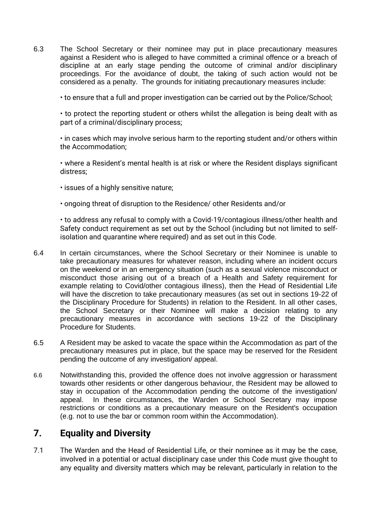6.3 The School Secretary or their nominee may put in place precautionary measures against a Resident who is alleged to have committed a criminal offence or a breach of discipline at an early stage pending the outcome of criminal and/or disciplinary proceedings. For the avoidance of doubt, the taking of such action would not be considered as a penalty. The grounds for initiating precautionary measures include:

• to ensure that a full and proper investigation can be carried out by the Police/School;

• to protect the reporting student or others whilst the allegation is being dealt with as part of a criminal/disciplinary process;

• in cases which may involve serious harm to the reporting student and/or others within the Accommodation;

• where a Resident's mental health is at risk or where the Resident displays significant distress;

- issues of a highly sensitive nature;
- ongoing threat of disruption to the Residence/ other Residents and/or

• to address any refusal to comply with a Covid-19/contagious illness/other health and Safety conduct requirement as set out by the School (including but not limited to selfisolation and quarantine where required) and as set out in this Code.

- 6.4 In certain circumstances, where the School Secretary or their Nominee is unable to take precautionary measures for whatever reason, including where an incident occurs on the weekend or in an emergency situation (such as a sexual violence misconduct or misconduct those arising out of a breach of a Health and Safety requirement for example relating to Covid/other contagious illness), then the Head of Residential Life will have the discretion to take precautionary measures (as set out in sections 19-22 of the Disciplinary Procedure for Students) in relation to the Resident. In all other cases, the School Secretary or their Nominee will make a decision relating to any precautionary measures in accordance with sections 19-22 of the Disciplinary Procedure for Students.
- 6.5 A Resident may be asked to vacate the space within the Accommodation as part of the precautionary measures put in place, but the space may be reserved for the Resident pending the outcome of any investigation/ appeal.
- 6.6 Notwithstanding this, provided the offence does not involve aggression or harassment towards other residents or other dangerous behaviour, the Resident may be allowed to stay in occupation of the Accommodation pending the outcome of the investigation/ appeal. In these circumstances, the Warden or School Secretary may impose restrictions or conditions as a precautionary measure on the Resident's occupation (e.g. not to use the bar or common room within the Accommodation).

### **7. Equality and Diversity**

7.1 The Warden and the Head of Residential Life, or their nominee as it may be the case, involved in a potential or actual disciplinary case under this Code must give thought to any equality and diversity matters which may be relevant, particularly in relation to the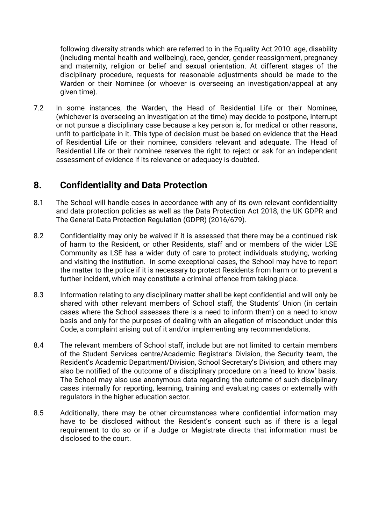following diversity strands which are referred to in the Equality Act 2010: age, disability (including mental health and wellbeing), race, gender, gender reassignment, pregnancy and maternity, religion or belief and sexual orientation. At different stages of the disciplinary procedure, requests for reasonable adjustments should be made to the Warden or their Nominee (or whoever is overseeing an investigation/appeal at any given time).

7.2 In some instances, the Warden, the Head of Residential Life or their Nominee, (whichever is overseeing an investigation at the time) may decide to postpone, interrupt or not pursue a disciplinary case because a key person is, for medical or other reasons, unfit to participate in it. This type of decision must be based on evidence that the Head of Residential Life or their nominee, considers relevant and adequate. The Head of Residential Life or their nominee reserves the right to reject or ask for an independent assessment of evidence if its relevance or adequacy is doubted.

### **8. Confidentiality and Data Protection**

- 8.1 The School will handle cases in accordance with any of its own relevant confidentiality and data protection policies as well as the Data Protection Act 2018, the UK GDPR and The General Data Protection Regulation (GDPR) (2016/679).
- 8.2 Confidentiality may only be waived if it is assessed that there may be a continued risk of harm to the Resident, or other Residents, staff and or members of the wider LSE Community as LSE has a wider duty of care to protect individuals studying, working and visiting the institution. In some exceptional cases, the School may have to report the matter to the police if it is necessary to protect Residents from harm or to prevent a further incident, which may constitute a criminal offence from taking place.
- 8.3 Information relating to any disciplinary matter shall be kept confidential and will only be shared with other relevant members of School staff, the Students' Union (in certain cases where the School assesses there is a need to inform them) on a need to know basis and only for the purposes of dealing with an allegation of misconduct under this Code, a complaint arising out of it and/or implementing any recommendations.
- 8.4 The relevant members of School staff, include but are not limited to certain members of the Student Services centre/Academic Registrar's Division, the Security team, the Resident's Academic Department/Division, School Secretary's Division, and others may also be notified of the outcome of a disciplinary procedure on a 'need to know' basis. The School may also use anonymous data regarding the outcome of such disciplinary cases internally for reporting, learning, training and evaluating cases or externally with regulators in the higher education sector.
- 8.5 Additionally, there may be other circumstances where confidential information may have to be disclosed without the Resident's consent such as if there is a legal requirement to do so or if a Judge or Magistrate directs that information must be disclosed to the court.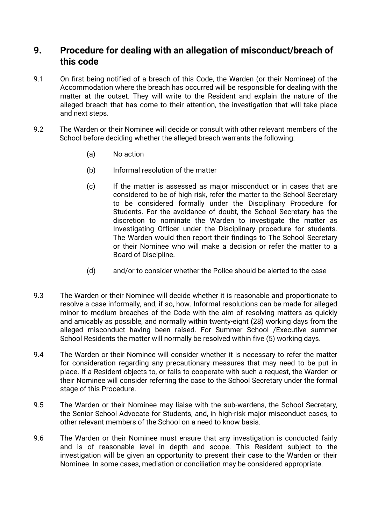### **9. Procedure for dealing with an allegation of misconduct/breach of this code**

- 9.1 On first being notified of a breach of this Code, the Warden (or their Nominee) of the Accommodation where the breach has occurred will be responsible for dealing with the matter at the outset. They will write to the Resident and explain the nature of the alleged breach that has come to their attention, the investigation that will take place and next steps.
- 9.2 The Warden or their Nominee will decide or consult with other relevant members of the School before deciding whether the alleged breach warrants the following:
	- (a) No action
	- (b) Informal resolution of the matter
	- (c) If the matter is assessed as major misconduct or in cases that are considered to be of high risk, refer the matter to the School Secretary to be considered formally under the Disciplinary Procedure for Students. For the avoidance of doubt, the School Secretary has the discretion to nominate the Warden to investigate the matter as Investigating Officer under the Disciplinary procedure for students. The Warden would then report their findings to The School Secretary or their Nominee who will make a decision or refer the matter to a Board of Discipline.
	- (d) and/or to consider whether the Police should be alerted to the case
- 9.3 The Warden or their Nominee will decide whether it is reasonable and proportionate to resolve a case informally, and, if so, how. Informal resolutions can be made for alleged minor to medium breaches of the Code with the aim of resolving matters as quickly and amicably as possible, and normally within twenty-eight (28) working days from the alleged misconduct having been raised. For Summer School /Executive summer School Residents the matter will normally be resolved within five (5) working days.
- 9.4 The Warden or their Nominee will consider whether it is necessary to refer the matter for consideration regarding any precautionary measures that may need to be put in place. If a Resident objects to, or fails to cooperate with such a request, the Warden or their Nominee will consider referring the case to the School Secretary under the formal stage of this Procedure.
- 9.5 The Warden or their Nominee may liaise with the sub-wardens, the School Secretary, the Senior School Advocate for Students, and, in high-risk major misconduct cases, to other relevant members of the School on a need to know basis.
- 9.6 The Warden or their Nominee must ensure that any investigation is conducted fairly and is of reasonable level in depth and scope. This Resident subject to the investigation will be given an opportunity to present their case to the Warden or their Nominee. In some cases, mediation or conciliation may be considered appropriate.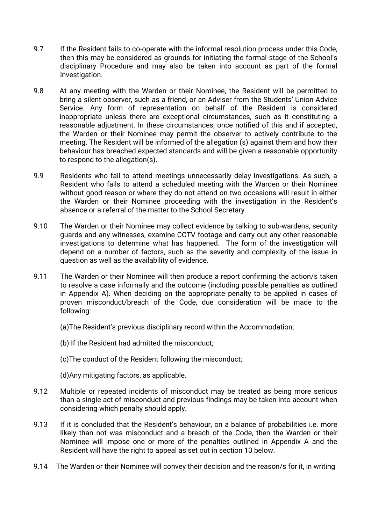- 9.7 If the Resident fails to co-operate with the informal resolution process under this Code, then this may be considered as grounds for initiating the formal stage of the School's disciplinary Procedure and may also be taken into account as part of the formal investigation.
- 9.8 At any meeting with the Warden or their Nominee, the Resident will be permitted to bring a silent observer, such as a friend, or an Adviser from the Students' Union Advice Service. Any form of representation on behalf of the Resident is considered inappropriate unless there are exceptional circumstances, such as it constituting a reasonable adjustment. In these circumstances, once notified of this and if accepted, the Warden or their Nominee may permit the observer to actively contribute to the meeting. The Resident will be informed of the allegation (s) against them and how their behaviour has breached expected standards and will be given a reasonable opportunity to respond to the allegation(s).
- 9.9 Residents who fail to attend meetings unnecessarily delay investigations. As such, a Resident who fails to attend a scheduled meeting with the Warden or their Nominee without good reason or where they do not attend on two occasions will result in either the Warden or their Nominee proceeding with the investigation in the Resident's absence or a referral of the matter to the School Secretary.
- 9.10 The Warden or their Nominee may collect evidence by talking to sub-wardens, security guards and any witnesses, examine CCTV footage and carry out any other reasonable investigations to determine what has happened. The form of the investigation will depend on a number of factors, such as the severity and complexity of the issue in question as well as the availability of evidence.
- 9.11 The Warden or their Nominee will then produce a report confirming the action/s taken to resolve a case informally and the outcome (including possible penalties as outlined in Appendix A). When deciding on the appropriate penalty to be applied in cases of proven misconduct/breach of the Code, due consideration will be made to the following:
	- (a)The Resident's previous disciplinary record within the Accommodation;
	- (b) If the Resident had admitted the misconduct;
	- (c)The conduct of the Resident following the misconduct;
	- (d)Any mitigating factors, as applicable.
- 9.12 Multiple or repeated incidents of misconduct may be treated as being more serious than a single act of misconduct and previous findings may be taken into account when considering which penalty should apply.
- 9.13 If it is concluded that the Resident's behaviour, on a balance of probabilities i.e. more likely than not was misconduct and a breach of the Code, then the Warden or their Nominee will impose one or more of the penalties outlined in Appendix A and the Resident will have the right to appeal as set out in section 10 below.
- 9.14 The Warden or their Nominee will convey their decision and the reason/s for it, in writing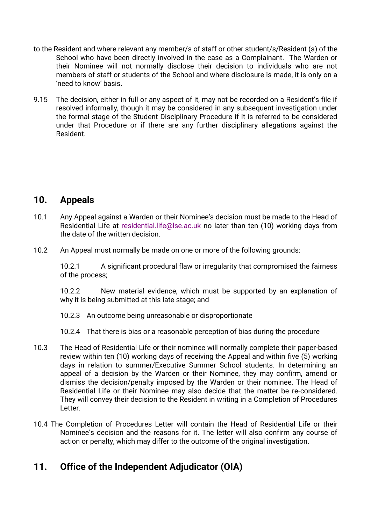- to the Resident and where relevant any member/s of staff or other student/s/Resident (s) of the School who have been directly involved in the case as a Complainant. The Warden or their Nominee will not normally disclose their decision to individuals who are not members of staff or students of the School and where disclosure is made, it is only on a 'need to know' basis.
- 9.15 The decision, either in full or any aspect of it, may not be recorded on a Resident's file if resolved informally, though it may be considered in any subsequent investigation under the formal stage of the Student Disciplinary Procedure if it is referred to be considered under that Procedure or if there are any further disciplinary allegations against the Resident.

### **10. Appeals**

- 10.1 Any Appeal against a Warden or their Nominee's decision must be made to the Head of Residential Life at [residential.life@lse.ac.uk](about:blank) no later than ten (10) working days from the date of the written decision.
- 10.2 An Appeal must normally be made on one or more of the following grounds:

10.2.1 A significant procedural flaw or irregularity that compromised the fairness of the process;

10.2.2 New material evidence, which must be supported by an explanation of why it is being submitted at this late stage; and

10.2.3 An outcome being unreasonable or disproportionate

10.2.4 That there is bias or a reasonable perception of bias during the procedure

- 10.3 The Head of Residential Life or their nominee will normally complete their paper-based review within ten (10) working days of receiving the Appeal and within five (5) working days in relation to summer/Executive Summer School students. In determining an appeal of a decision by the Warden or their Nominee, they may confirm, amend or dismiss the decision/penalty imposed by the Warden or their nominee. The Head of Residential Life or their Nominee may also decide that the matter be re-considered. They will convey their decision to the Resident in writing in a Completion of Procedures Letter.
- 10.4 The Completion of Procedures Letter will contain the Head of Residential Life or their Nominee's decision and the reasons for it. The letter will also confirm any course of action or penalty, which may differ to the outcome of the original investigation.

### **11. Office of the Independent Adjudicator (OIA)**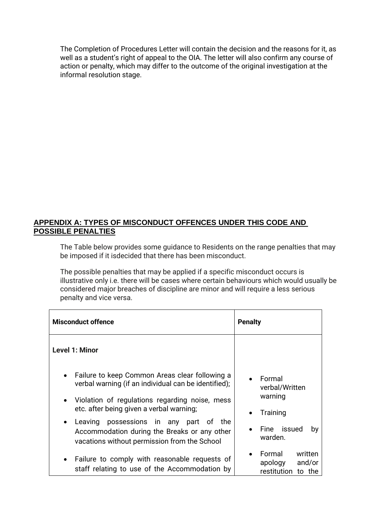The Completion of Procedures Letter will contain the decision and the reasons for it, as well as a student's right of appeal to the OIA. The letter will also confirm any course of action or penalty, which may differ to the outcome of the original investigation at the informal resolution stage.

#### **APPENDIX A: TYPES OF MISCONDUCT OFFENCES UNDER THIS CODE AND POSSIBLE PENALTIES**

The Table below provides some guidance to Residents on the range penalties that may be imposed if it isdecided that there has been misconduct.

The possible penalties that may be applied if a specific misconduct occurs is illustrative only i.e. there will be cases where certain behaviours which would usually be considered major breaches of discipline are minor and will require a less serious penalty and vice versa.

| <b>Misconduct offence</b>                                                                                                                                                                                                                                                                                                                                                                   | <b>Penalty</b>                                                                  |  |
|---------------------------------------------------------------------------------------------------------------------------------------------------------------------------------------------------------------------------------------------------------------------------------------------------------------------------------------------------------------------------------------------|---------------------------------------------------------------------------------|--|
| Level 1: Minor                                                                                                                                                                                                                                                                                                                                                                              |                                                                                 |  |
| Failure to keep Common Areas clear following a<br>$\bullet$<br>verbal warning (if an individual can be identified);<br>Violation of regulations regarding noise, mess<br>$\bullet$<br>etc. after being given a verbal warning;<br>possessions in any part of<br>Leaving<br>the<br>$\bullet$<br>Accommodation during the Breaks or any other<br>vacations without permission from the School | Formal<br>verbal/Written<br>warning<br>Training<br>Fine issued<br>by<br>warden. |  |
| Failure to comply with reasonable requests of<br>staff relating to use of the Accommodation by                                                                                                                                                                                                                                                                                              | Formal<br>written<br>apology<br>and/or<br>restitution to the                    |  |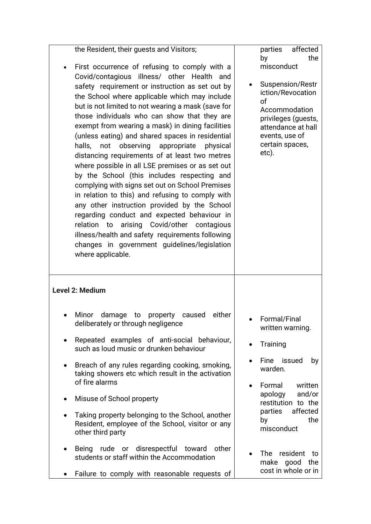| the Resident, their guests and Visitors;<br>First occurrence of refusing to comply with a<br>Covid/contagious illness/ other Health and<br>safety requirement or instruction as set out by<br>the School where applicable which may include<br>but is not limited to not wearing a mask (save for<br>those individuals who can show that they are<br>exempt from wearing a mask) in dining facilities<br>(unless eating) and shared spaces in residential<br>observing appropriate<br>halls,<br>physical<br>not<br>distancing requirements of at least two metres<br>where possible in all LSE premises or as set out<br>by the School (this includes respecting and<br>complying with signs set out on School Premises<br>in relation to this) and refusing to comply with<br>any other instruction provided by the School<br>regarding conduct and expected behaviour in<br>relation to<br>arising Covid/other contagious<br>illness/health and safety requirements following<br>changes in government guidelines/legislation<br>where applicable. | affected<br>parties<br>the<br>by<br>misconduct<br>Suspension/Restr<br>iction/Revocation<br>οf<br>Accommodation<br>privileges (guests,<br>attendance at hall<br>events, use of<br>certain spaces,<br>etc). |
|------------------------------------------------------------------------------------------------------------------------------------------------------------------------------------------------------------------------------------------------------------------------------------------------------------------------------------------------------------------------------------------------------------------------------------------------------------------------------------------------------------------------------------------------------------------------------------------------------------------------------------------------------------------------------------------------------------------------------------------------------------------------------------------------------------------------------------------------------------------------------------------------------------------------------------------------------------------------------------------------------------------------------------------------------|-----------------------------------------------------------------------------------------------------------------------------------------------------------------------------------------------------------|
| <b>Level 2: Medium</b>                                                                                                                                                                                                                                                                                                                                                                                                                                                                                                                                                                                                                                                                                                                                                                                                                                                                                                                                                                                                                               |                                                                                                                                                                                                           |
| Minor<br>either<br>damage<br>property<br>caused<br>to<br>deliberately or through negligence                                                                                                                                                                                                                                                                                                                                                                                                                                                                                                                                                                                                                                                                                                                                                                                                                                                                                                                                                          | Formal/Final<br>written warning.                                                                                                                                                                          |
| Repeated examples of anti-social behaviour,<br>such as loud music or drunken behaviour                                                                                                                                                                                                                                                                                                                                                                                                                                                                                                                                                                                                                                                                                                                                                                                                                                                                                                                                                               | Training                                                                                                                                                                                                  |
| Breach of any rules regarding cooking, smoking,<br>taking showers etc which result in the activation<br>of fire alarms                                                                                                                                                                                                                                                                                                                                                                                                                                                                                                                                                                                                                                                                                                                                                                                                                                                                                                                               | Fine issued<br>by<br>warden.<br>Formal<br>written                                                                                                                                                         |
| Misuse of School property<br>$\bullet$                                                                                                                                                                                                                                                                                                                                                                                                                                                                                                                                                                                                                                                                                                                                                                                                                                                                                                                                                                                                               | and/or<br>apology<br>restitution to the                                                                                                                                                                   |
| Taking property belonging to the School, another<br>$\bullet$<br>Resident, employee of the School, visitor or any<br>other third party                                                                                                                                                                                                                                                                                                                                                                                                                                                                                                                                                                                                                                                                                                                                                                                                                                                                                                               | affected<br>parties<br>the<br>by<br>misconduct                                                                                                                                                            |
|                                                                                                                                                                                                                                                                                                                                                                                                                                                                                                                                                                                                                                                                                                                                                                                                                                                                                                                                                                                                                                                      |                                                                                                                                                                                                           |
| rude or disrespectful toward<br>other<br><b>Being</b><br>students or staff within the Accommodation                                                                                                                                                                                                                                                                                                                                                                                                                                                                                                                                                                                                                                                                                                                                                                                                                                                                                                                                                  | resident<br><b>The</b><br>to<br>make good<br>the<br>cost in whole or in                                                                                                                                   |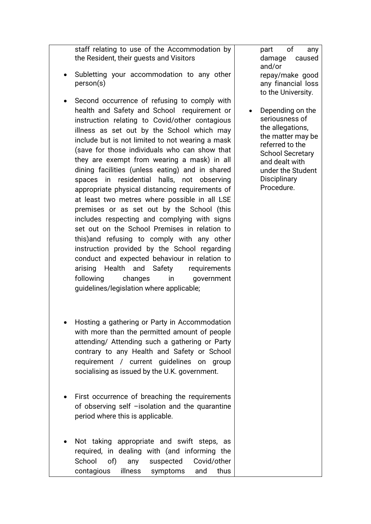staff relating to use of the Accommodation by the Resident, their guests and Visitors

- Subletting your accommodation to any other person(s)
- Second occurrence of refusing to comply with health and Safety and School requirement or instruction relating to Covid/other contagious illness as set out by the School which may include but is not limited to not wearing a mask (save for those individuals who can show that they are exempt from wearing a mask) in all dining facilities (unless eating) and in shared spaces in residential halls, not observing appropriate physical distancing requirements of at least two metres where possible in all LSE premises or as set out by the School (this includes respecting and complying with signs set out on the School Premises in relation to this)and refusing to comply with any other instruction provided by the School regarding conduct and expected behaviour in relation to arising Health and Safety requirements following changes in government guidelines/legislation where applicable;
- Hosting a gathering or Party in Accommodation with more than the permitted amount of people attending/ Attending such a gathering or Party contrary to any Health and Safety or School requirement / current guidelines on group socialising as issued by the U.K. government.
- First occurrence of breaching the requirements of observing self –isolation and the quarantine period where this is applicable.
- Not taking appropriate and swift steps, as required, in dealing with (and informing the School of) any suspected Covid/other contagious illness symptoms and thus

part of any damage caused and/or repay/make good any financial loss to the University.

• Depending on the seriousness of the allegations, the matter may be referred to the School Secretary and dealt with under the Student **Disciplinary** Procedure.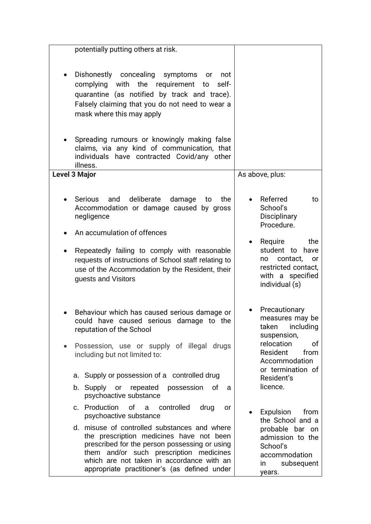| potentially putting others at risk.                                                                                                                                                                                                                                               |                                                                                                                    |
|-----------------------------------------------------------------------------------------------------------------------------------------------------------------------------------------------------------------------------------------------------------------------------------|--------------------------------------------------------------------------------------------------------------------|
| Dishonestly concealing<br>symptoms<br>not<br>or<br>complying with the requirement<br>self-<br>to<br>quarantine (as notified by track and trace).<br>Falsely claiming that you do not need to wear a<br>mask where this may apply                                                  |                                                                                                                    |
| Spreading rumours or knowingly making false<br>claims, via any kind of communication, that<br>individuals have contracted Covid/any other<br>illness.                                                                                                                             |                                                                                                                    |
| <b>Level 3 Major</b>                                                                                                                                                                                                                                                              | As above, plus:                                                                                                    |
| deliberate<br>Serious<br>and<br>damage<br>the<br>to<br>Accommodation or damage caused by gross<br>negligence                                                                                                                                                                      | Referred<br>to<br>School's<br>Disciplinary<br>Procedure.                                                           |
| An accumulation of offences                                                                                                                                                                                                                                                       | Require<br>the                                                                                                     |
| Repeatedly failing to comply with reasonable<br>requests of instructions of School staff relating to<br>use of the Accommodation by the Resident, their<br>guests and Visitors                                                                                                    | student to have<br>contact,<br><b>or</b><br>no<br>restricted contact,<br>with a specified<br>individual (s)        |
| Behaviour which has caused serious damage or<br>could have caused serious damage to the<br>reputation of the School<br>Possession, use or supply of illegal drugs                                                                                                                 | Precautionary<br>measures may be<br>taken including<br>suspension,<br>relocation<br>οf                             |
| including but not limited to:                                                                                                                                                                                                                                                     | Resident<br>from<br>Accommodation                                                                                  |
| a. Supply or possession of a controlled drug                                                                                                                                                                                                                                      | or termination of<br>Resident's                                                                                    |
| b. Supply or repeated<br>possession<br>of<br>a<br>psychoactive substance                                                                                                                                                                                                          | licence.                                                                                                           |
| c. Production of a controlled<br>drug<br><b>or</b><br>psychoactive substance                                                                                                                                                                                                      | Expulsion<br>from                                                                                                  |
| d. misuse of controlled substances and where<br>the prescription medicines have not been<br>prescribed for the person possessing or using<br>them and/or such prescription medicines<br>which are not taken in accordance with an<br>appropriate practitioner's (as defined under | the School and a<br>probable bar on<br>admission to the<br>School's<br>accommodation<br>subsequent<br>in<br>years. |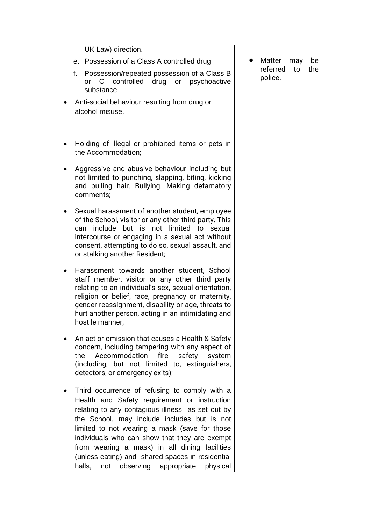| UK Law) direction.                                                                                                                                                                                                                                                                                                                                                                                                                                               |                                  |
|------------------------------------------------------------------------------------------------------------------------------------------------------------------------------------------------------------------------------------------------------------------------------------------------------------------------------------------------------------------------------------------------------------------------------------------------------------------|----------------------------------|
| e. Possession of a Class A controlled drug                                                                                                                                                                                                                                                                                                                                                                                                                       | Matter<br>may<br>be              |
| f.<br>Possession/repeated possession of a Class B<br>controlled drug<br>C<br>or psychoactive<br><b>or</b><br>substance                                                                                                                                                                                                                                                                                                                                           | referred<br>to<br>the<br>police. |
| Anti-social behaviour resulting from drug or<br>alcohol misuse.                                                                                                                                                                                                                                                                                                                                                                                                  |                                  |
| Holding of illegal or prohibited items or pets in<br>the Accommodation;                                                                                                                                                                                                                                                                                                                                                                                          |                                  |
| Aggressive and abusive behaviour including but<br>not limited to punching, slapping, biting, kicking<br>and pulling hair. Bullying. Making defamatory<br>comments;                                                                                                                                                                                                                                                                                               |                                  |
| Sexual harassment of another student, employee<br>of the School, visitor or any other third party. This<br>include but is not limited to sexual<br>can<br>intercourse or engaging in a sexual act without<br>consent, attempting to do so, sexual assault, and<br>or stalking another Resident;                                                                                                                                                                  |                                  |
| Harassment towards another student, School<br>staff member, visitor or any other third party<br>relating to an individual's sex, sexual orientation,<br>religion or belief, race, pregnancy or maternity,<br>gender reassignment, disability or age, threats to<br>hurt another person, acting in an intimidating and<br>hostile manner;                                                                                                                         |                                  |
| An act or omission that causes a Health & Safety<br>concern, including tampering with any aspect of<br>the<br>Accommodation<br>fire<br>safety<br>system<br>(including, but not limited to, extinguishers,<br>detectors, or emergency exits);                                                                                                                                                                                                                     |                                  |
| Third occurrence of refusing to comply with a<br>Health and Safety requirement or instruction<br>relating to any contagious illness as set out by<br>the School, may include includes but is not<br>limited to not wearing a mask (save for those<br>individuals who can show that they are exempt<br>from wearing a mask) in all dining facilities<br>(unless eating) and shared spaces in residential<br>observing<br>appropriate<br>physical<br>halls,<br>not |                                  |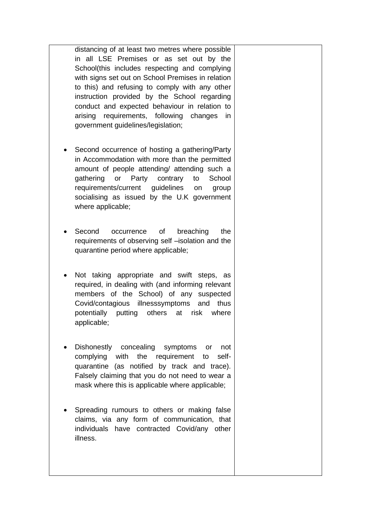distancing of at least two metres where possible in all LSE Premises or as set out by the School(this includes respecting and complying with signs set out on School Premises in relation to this) and refusing to comply with any other instruction provided by the School regarding conduct and expected behaviour in relation to arising requirements, following changes in government guidelines/legislation;

- Second occurrence of hosting a gathering/Party in Accommodation with more than the permitted amount of people attending/ attending such a gathering or Party contrary to School requirements/current guidelines on group socialising as issued by the U.K government where applicable;
- Second occurrence of breaching the requirements of observing self –isolation and the quarantine period where applicable;
- Not taking appropriate and swift steps, as required, in dealing with (and informing relevant members of the School) of any suspected Covid/contagious illnesssymptoms and thus potentially putting others at risk where applicable;
- Dishonestly concealing symptoms or not complying with the requirement to selfquarantine (as notified by track and trace). Falsely claiming that you do not need to wear a mask where this is applicable where applicable;
- Spreading rumours to others or making false claims, via any form of communication, that individuals have contracted Covid/any other illness.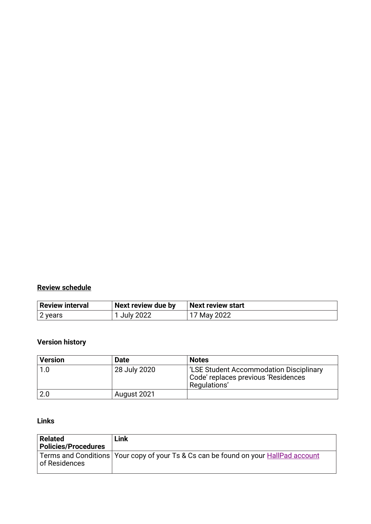### **Review schedule**

| Review interval | Next review due by | Next review start |
|-----------------|--------------------|-------------------|
| 2 years         | July 2022          | 17 May 2022       |

### **Version history**

| <b>Version</b> | <b>Date</b>  | <b>Notes</b>                                                                                         |
|----------------|--------------|------------------------------------------------------------------------------------------------------|
| 1.0            | 28 July 2020 | <b>LSE Student Accommodation Disciplinary</b><br>Code' replaces previous 'Residences<br>Regulations' |
| 2.0            | August 2021  |                                                                                                      |

### **Links**

| <b>Related</b><br><b>Policies/Procedures</b> | Link                                                                                  |
|----------------------------------------------|---------------------------------------------------------------------------------------|
| of Residences                                | Terms and Conditions   Your copy of your Ts & Cs can be found on your HallPad account |